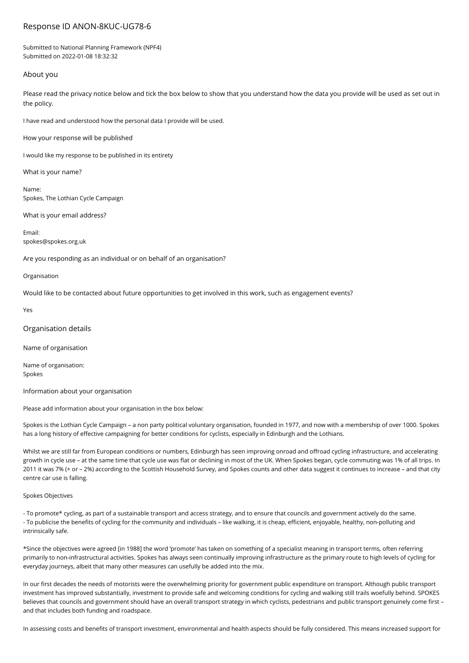# Response ID ANON-8KUC-UG78-6

Submitted to National Planning Framework (NPF4) Submitted on 2022-01-08 18:32:32

## About you

Please read the privacy notice below and tick the box below to show that you understand how the data you provide will be used as set out in the policy.

I have read and understood how the personal data I provide will be used.

How your response will be published

I would like my response to be published in its entirety

What is your name?

Name: Spokes, The Lothian Cycle Campaign

What is your email address?

Email: spokes@spokes.org.uk

Are you responding as an individual or on behalf of an organisation?

#### Organisation

Would like to be contacted about future opportunities to get involved in this work, such as engagement events?

Yes

Organisation details

Name of organisation

Name of organisation: Spokes

Information about your organisation

Please add information about your organisation in the box below:

Spokes is the Lothian Cycle Campaign – a non party political voluntary organisation, founded in 1977, and now with a membership of over 1000. Spokes has a long history of effective campaigning for better conditions for cyclists, especially in Edinburgh and the Lothians.

Whilst we are still far from European conditions or numbers, Edinburgh has seen improving onroad and offroad cycling infrastructure, and accelerating growth in cycle use – at the same time that cycle use was flat or declining in most of the UK. When Spokes began, cycle commuting was 1% of all trips. In 2011 it was 7% (+ or – 2%) according to the Scottish Household Survey, and Spokes counts and other data suggest it continues to increase – and that city centre car use is falling.

### Spokes Objectives

- To promote\* cycling, as part of a sustainable transport and access strategy, and to ensure that councils and government actively do the same. - To publicise the benefits of cycling for the community and individuals – like walking, it is cheap, efficient, enjoyable, healthy, non-polluting and intrinsically safe.

\*Since the objectives were agreed [in 1988] the word 'promote' has taken on something of a specialist meaning in transport terms, often referring primarily to non-infrastructural activities. Spokes has always seen continually improving infrastructure as the primary route to high levels of cycling for everyday journeys, albeit that many other measures can usefully be added into the mix.

In our first decades the needs of motorists were the overwhelming priority for government public expenditure on transport. Although public transport investment has improved substantially, investment to provide safe and welcoming conditions for cycling and walking still trails woefully behind. SPOKES believes that councils and government should have an overall transport strategy in which cyclists, pedestrians and public transport genuinely come first and that includes both funding and roadspace.

In assessing costs and benefits of transport investment, environmental and health aspects should be fully considered. This means increased support for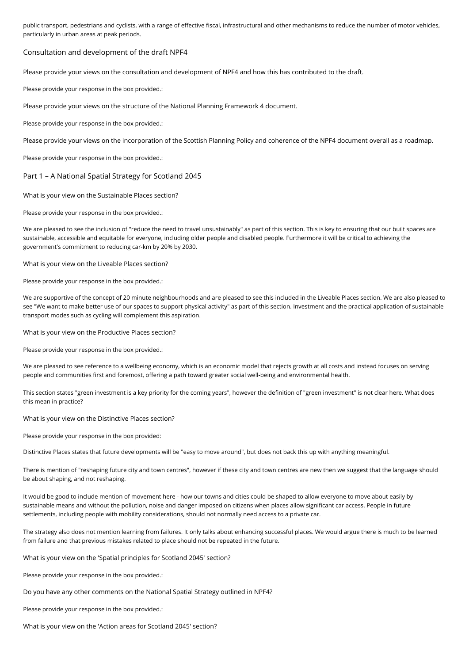public transport, pedestrians and cyclists, with a range of effective fiscal, infrastructural and other mechanisms to reduce the number of motor vehicles, particularly in urban areas at peak periods.

## Consultation and development of the draft NPF4

Please provide your views on the consultation and development of NPF4 and how this has contributed to the draft.

Please provide your response in the box provided.:

Please provide your views on the structure of the National Planning Framework 4 document.

Please provide your response in the box provided.:

Please provide your views on the incorporation of the Scottish Planning Policy and coherence of the NPF4 document overall as a roadmap.

Please provide your response in the box provided.:

Part 1 – A National Spatial Strategy for Scotland 2045

What is your view on the Sustainable Places section?

Please provide your response in the box provided.:

We are pleased to see the inclusion of "reduce the need to travel unsustainably" as part of this section. This is key to ensuring that our built spaces are sustainable, accessible and equitable for everyone, including older people and disabled people. Furthermore it will be critical to achieving the government's commitment to reducing car-km by 20% by 2030.

What is your view on the Liveable Places section?

Please provide your response in the box provided.:

We are supportive of the concept of 20 minute neighbourhoods and are pleased to see this included in the Liveable Places section. We are also pleased to see "We want to make better use of our spaces to support physical activity" as part of this section. Investment and the practical application of sustainable transport modes such as cycling will complement this aspiration.

What is your view on the Productive Places section?

Please provide your response in the box provided.:

We are pleased to see reference to a wellbeing economy, which is an economic model that rejects growth at all costs and instead focuses on serving people and communities first and foremost, offering a path toward greater social well-being and environmental health.

This section states "green investment is a key priority for the coming years", however the definition of "green investment" is not clear here. What does this mean in practice?

What is your view on the Distinctive Places section?

Please provide your response in the box provided:

Distinctive Places states that future developments will be "easy to move around", but does not back this up with anything meaningful.

There is mention of "reshaping future city and town centres", however if these city and town centres are new then we suggest that the language should be about shaping, and not reshaping.

It would be good to include mention of movement here - how our towns and cities could be shaped to allow everyone to move about easily by sustainable means and without the pollution, noise and danger imposed on citizens when places allow significant car access. People in future settlements, including people with mobility considerations, should not normally need access to a private car.

The strategy also does not mention learning from failures. It only talks about enhancing successful places. We would argue there is much to be learned from failure and that previous mistakes related to place should not be repeated in the future.

What is your view on the 'Spatial principles for Scotland 2045' section?

Please provide your response in the box provided.:

Do you have any other comments on the National Spatial Strategy outlined in NPF4?

Please provide your response in the box provided.:

What is your view on the 'Action areas for Scotland 2045' section?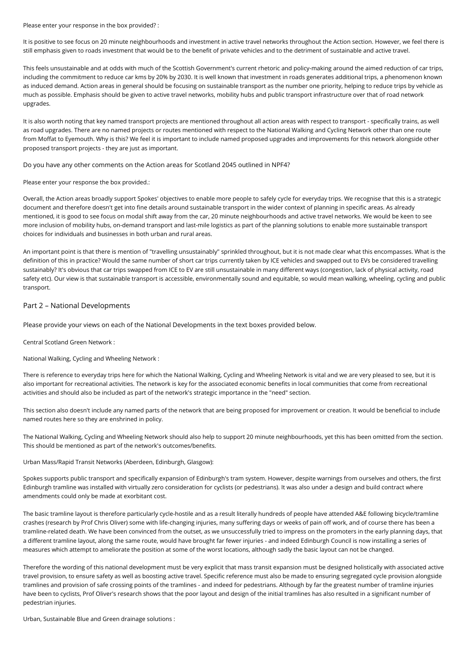Please enter your response in the box provided? :

It is positive to see focus on 20 minute neighbourhoods and investment in active travel networks throughout the Action section. However, we feel there is still emphasis given to roads investment that would be to the benefit of private vehicles and to the detriment of sustainable and active travel.

This feels unsustainable and at odds with much of the Scottish Government's current rhetoric and policy-making around the aimed reduction of car trips, including the commitment to reduce car kms by 20% by 2030. It is well known that investment in roads generates additional trips, a phenomenon known as induced demand. Action areas in general should be focusing on sustainable transport as the number one priority, helping to reduce trips by vehicle as much as possible. Emphasis should be given to active travel networks, mobility hubs and public transport infrastructure over that of road network upgrades.

It is also worth noting that key named transport projects are mentioned throughout all action areas with respect to transport - specifically trains, as well as road upgrades. There are no named projects or routes mentioned with respect to the National Walking and Cycling Network other than one route from Moffat to Eyemouth. Why is this? We feel it is important to include named proposed upgrades and improvements for this network alongside other proposed transport projects - they are just as important.

Do you have any other comments on the Action areas for Scotland 2045 outlined in NPF4?

Please enter your response the box provided.:

Overall, the Action areas broadly support Spokes' objectives to enable more people to safely cycle for everyday trips. We recognise that this is a strategic document and therefore doesn't get into fine details around sustainable transport in the wider context of planning in specific areas. As already mentioned, it is good to see focus on modal shift away from the car, 20 minute neighbourhoods and active travel networks. We would be keen to see more inclusion of mobility hubs, on-demand transport and last-mile logistics as part of the planning solutions to enable more sustainable transport choices for individuals and businesses in both urban and rural areas.

An important point is that there is mention of "travelling unsustainably" sprinkled throughout, but it is not made clear what this encompasses. What is the definition of this in practice? Would the same number of short car trips currently taken by ICE vehicles and swapped out to EVs be considered travelling sustainably? It's obvious that car trips swapped from ICE to EV are still unsustainable in many different ways (congestion, lack of physical activity, road safety etc). Our view is that sustainable transport is accessible, environmentally sound and equitable, so would mean walking, wheeling, cycling and public transport.

# Part 2 – National Developments

Please provide your views on each of the National Developments in the text boxes provided below.

Central Scotland Green Network :

National Walking, Cycling and Wheeling Network :

There is reference to everyday trips here for which the National Walking, Cycling and Wheeling Network is vital and we are very pleased to see, but it is also important for recreational activities. The network is key for the associated economic benefits in local communities that come from recreational activities and should also be included as part of the network's strategic importance in the "need" section.

This section also doesn't include any named parts of the network that are being proposed for improvement or creation. It would be beneficial to include named routes here so they are enshrined in policy.

The National Walking, Cycling and Wheeling Network should also help to support 20 minute neighbourhoods, yet this has been omitted from the section. This should be mentioned as part of the network's outcomes/benefits.

Urban Mass/Rapid Transit Networks (Aberdeen, Edinburgh, Glasgow):

Spokes supports public transport and specifically expansion of Edinburgh's tram system. However, despite warnings from ourselves and others, the first Edinburgh tramline was installed with virtually zero consideration for cyclists (or pedestrians). It was also under a design and build contract where amendments could only be made at exorbitant cost.

The basic tramline layout is therefore particularly cycle-hostile and as a result literally hundreds of people have attended A&E following bicycle/tramline crashes (research by Prof Chris Oliver) some with life-changing injuries, many suffering days or weeks of pain off work, and of course there has been a tramline-related death. We have been convinced from the outset, as we unsuccessfully tried to impress on the promoters in the early planning days, that a different tramline layout, along the same route, would have brought far fewer injuries - and indeed Edinburgh Council is now installing a series of measures which attempt to ameliorate the position at some of the worst locations, although sadly the basic layout can not be changed.

Therefore the wording of this national development must be very explicit that mass transit expansion must be designed holistically with associated active travel provision, to ensure safety as well as boosting active travel. Specific reference must also be made to ensuring segregated cycle provision alongside tramlines and provision of safe crossing points of the tramlines - and indeed for pedestrians. Although by far the greatest number of tramline injuries have been to cyclists, Prof Oliver's research shows that the poor layout and design of the initial tramlines has also resulted in a significant number of pedestrian injuries.

Urban, Sustainable Blue and Green drainage solutions :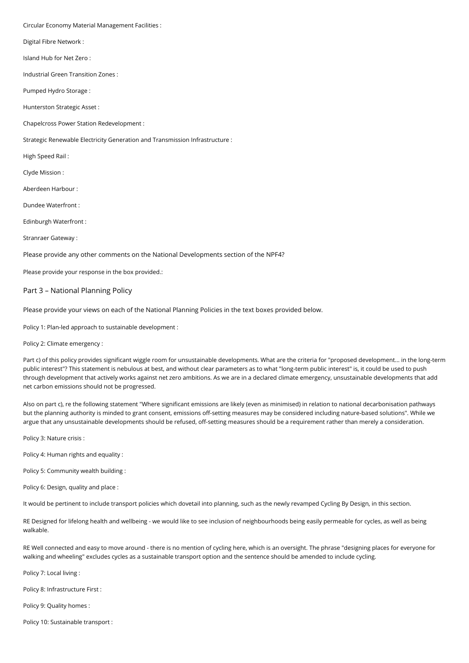Circular Economy Material Management Facilities :

Digital Fibre Network :

Island Hub for Net Zero :

Industrial Green Transition Zones :

Pumped Hydro Storage :

Hunterston Strategic Asset :

Chapelcross Power Station Redevelopment :

Strategic Renewable Electricity Generation and Transmission Infrastructure :

High Speed Rail :

Clyde Mission :

Aberdeen Harbour :

Dundee Waterfront :

Edinburgh Waterfront :

Stranraer Gateway :

Please provide any other comments on the National Developments section of the NPF4?

Please provide your response in the box provided.:

#### Part 3 – National Planning Policy

Please provide your views on each of the National Planning Policies in the text boxes provided below.

Policy 1: Plan-led approach to sustainable development :

Policy 2: Climate emergency :

Part c) of this policy provides significant wiggle room for unsustainable developments. What are the criteria for "proposed development... in the long-term public interest"? This statement is nebulous at best, and without clear parameters as to what "long-term public interest" is, it could be used to push through development that actively works against net zero ambitions. As we are in a declared climate emergency, unsustainable developments that add net carbon emissions should not be progressed.

Also on part c), re the following statement "Where significant emissions are likely (even as minimised) in relation to national decarbonisation pathways but the planning authority is minded to grant consent, emissions off-setting measures may be considered including nature-based solutions". While we argue that any unsustainable developments should be refused, off-setting measures should be a requirement rather than merely a consideration.

Policy 3: Nature crisis :

Policy 4: Human rights and equality :

Policy 5: Community wealth building :

Policy 6: Design, quality and place :

It would be pertinent to include transport policies which dovetail into planning, such as the newly revamped Cycling By Design, in this section.

RE Designed for lifelong health and wellbeing - we would like to see inclusion of neighbourhoods being easily permeable for cycles, as well as being walkable.

RE Well connected and easy to move around - there is no mention of cycling here, which is an oversight. The phrase "designing places for everyone for walking and wheeling" excludes cycles as a sustainable transport option and the sentence should be amended to include cycling.

Policy 7: Local living :

Policy 8: Infrastructure First :

Policy 9: Quality homes :

Policy 10: Sustainable transport :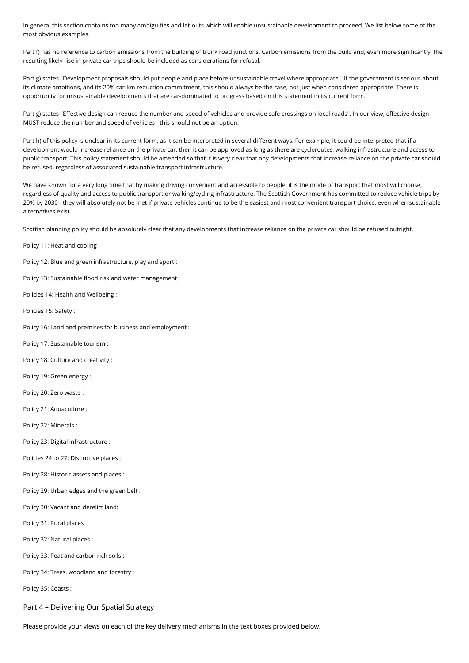In general this section contains too many ambiguities and let-outs which will enable unsustainable development to proceed. We list below some of the most obvious examples.

Part f) has no reference to carbon emissions from the building of trunk road junctions. Carbon emissions from the build and, even more significantly, the resulting likely rise in private car trips should be included as considerations for refusal.

Part g) states "Development proposals should put people and place before unsustainable travel where appropriate". If the government is serious about its climate ambitions, and its 20% car-km reduction commitment, this should always be the case, not just when considered appropriate. There is opportunity for unsustainable developments that are car-dominated to progress based on this statement in its current form.

Part g) states "Effective design can reduce the number and speed of vehicles and provide safe crossings on local roads". In our view, effective design MUST reduce the number and speed of vehicles - this should not be an option.

Part h) of this policy is unclear in its current form, as it can be interpreted in several different ways. For example, it could be interpreted that if a development would increase reliance on the private car, then it can be approved as long as there are cycleroutes, walking infrastructure and access to public transport. This policy statement should be amended so that it is very clear that any developments that increase reliance on the private car should be refused, regardless of associated sustainable transport infrastructure.

We have known for a very long time that by making driving convenient and accessible to people, it is the mode of transport that most will choose, regardless of quality and access to public transport or walking/cycling infrastructure. The Scottish Government has committed to reduce vehicle trips by 20% by 2030 - they will absolutely not be met if private vehicles continue to be the easiest and most convenient transport choice, even when sustainable alternatives exist.

Scottish planning policy should be absolutely clear that any developments that increase reliance on the private car should be refused outright.

Policy 11: Heat and cooling :

Policy 12: Blue and green infrastructure, play and sport :

Policy 13: Sustainable flood risk and water management :

Policies 14: Health and Wellbeing :

Policies 15: Safety :

Policy 16: Land and premises for business and employment :

Policy 17: Sustainable tourism :

Policy 18: Culture and creativity :

Policy 19: Green energy :

Policy 20: Zero waste :

Policy 21: Aquaculture :

Policy 22: Minerals :

Policy 23: Digital infrastructure :

Policies 24 to 27: Distinctive places :

Policy 28: Historic assets and places :

Policy 29: Urban edges and the green belt :

Policy 30: Vacant and derelict land:

Policy 31: Rural places :

Policy 32: Natural places :

Policy 33: Peat and carbon rich soils :

Policy 34: Trees, woodland and forestry :

Policy 35: Coasts :

Part 4 – Delivering Our Spatial Strategy

Please provide your views on each of the key delivery mechanisms in the text boxes provided below.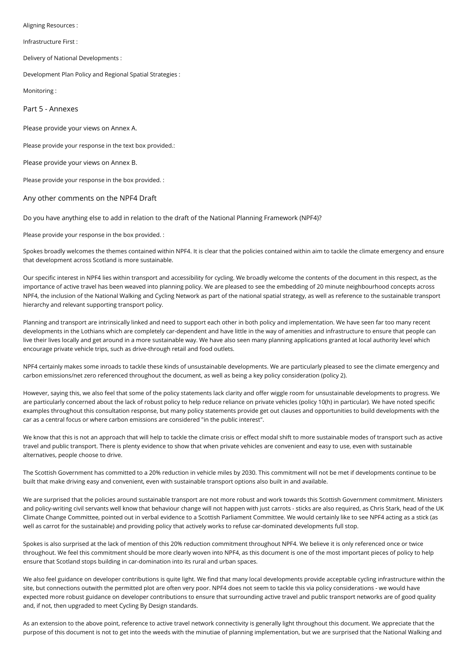Aligning Resources :

Infrastructure First :

Delivery of National Developments :

Development Plan Policy and Regional Spatial Strategies :

Monitoring :

Part 5 - Annexes

Please provide your views on Annex A.

Please provide your response in the text box provided.:

Please provide your views on Annex B.

Please provide your response in the box provided. :

#### Any other comments on the NPF4 Draft

Do you have anything else to add in relation to the draft of the National Planning Framework (NPF4)?

Please provide your response in the box provided. :

Spokes broadly welcomes the themes contained within NPF4. It is clear that the policies contained within aim to tackle the climate emergency and ensure that development across Scotland is more sustainable.

Our specific interest in NPF4 lies within transport and accessibility for cycling. We broadly welcome the contents of the document in this respect, as the importance of active travel has been weaved into planning policy. We are pleased to see the embedding of 20 minute neighbourhood concepts across NPF4, the inclusion of the National Walking and Cycling Network as part of the national spatial strategy, as well as reference to the sustainable transport hierarchy and relevant supporting transport policy.

Planning and transport are intrinsically linked and need to support each other in both policy and implementation. We have seen far too many recent developments in the Lothians which are completely car-dependent and have little in the way of amenities and infrastructure to ensure that people can live their lives locally and get around in a more sustainable way. We have also seen many planning applications granted at local authority level which encourage private vehicle trips, such as drive-through retail and food outlets.

NPF4 certainly makes some inroads to tackle these kinds of unsustainable developments. We are particularly pleased to see the climate emergency and carbon emissions/net zero referenced throughout the document, as well as being a key policy consideration (policy 2).

However, saying this, we also feel that some of the policy statements lack clarity and offer wiggle room for unsustainable developments to progress. We are particularly concerned about the lack of robust policy to help reduce reliance on private vehicles (policy 10(h) in particular). We have noted specific examples throughout this consultation response, but many policy statements provide get out clauses and opportunities to build developments with the car as a central focus or where carbon emissions are considered "in the public interest".

We know that this is not an approach that will help to tackle the climate crisis or effect modal shift to more sustainable modes of transport such as active travel and public transport. There is plenty evidence to show that when private vehicles are convenient and easy to use, even with sustainable alternatives, people choose to drive.

The Scottish Government has committed to a 20% reduction in vehicle miles by 2030. This commitment will not be met if developments continue to be built that make driving easy and convenient, even with sustainable transport options also built in and available.

We are surprised that the policies around sustainable transport are not more robust and work towards this Scottish Government commitment. Ministers and policy-writing civil servants well know that behaviour change will not happen with just carrots - sticks are also required, as Chris Stark, head of the UK Climate Change Committee, pointed out in verbal evidence to a Scottish Parliament Committee. We would certainly like to see NPF4 acting as a stick (as well as carrot for the sustainable) and providing policy that actively works to refuse car-dominated developments full stop.

Spokes is also surprised at the lack of mention of this 20% reduction commitment throughout NPF4. We believe it is only referenced once or twice throughout. We feel this commitment should be more clearly woven into NPF4, as this document is one of the most important pieces of policy to help ensure that Scotland stops building in car-domination into its rural and urban spaces.

We also feel guidance on developer contributions is quite light. We find that many local developments provide acceptable cycling infrastructure within the site, but connections outwith the permitted plot are often very poor. NPF4 does not seem to tackle this via policy considerations - we would have expected more robust guidance on developer contributions to ensure that surrounding active travel and public transport networks are of good quality and, if not, then upgraded to meet Cycling By Design standards.

As an extension to the above point, reference to active travel network connectivity is generally light throughout this document. We appreciate that the purpose of this document is not to get into the weeds with the minutiae of planning implementation, but we are surprised that the National Walking and